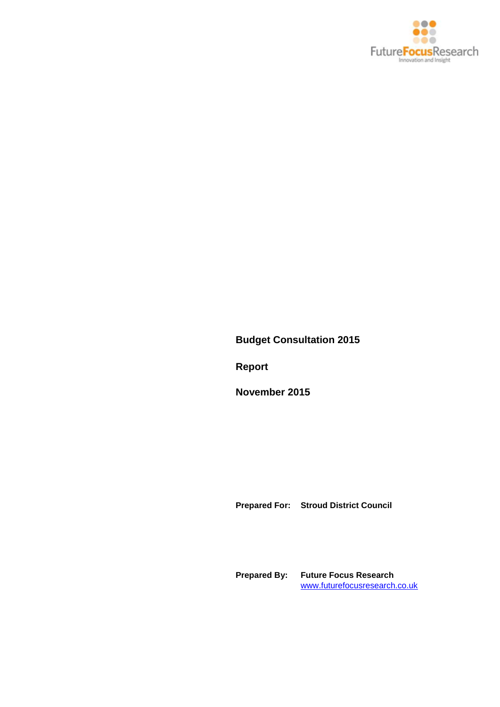

**Budget Consultation 2015**

**Report**

**November 2015**

**Prepared For: Stroud District Council**

**Prepared By: Future Focus Research** [www.futurefocusresearch.co.uk](http://www.futurefocusresearch.co.uk/)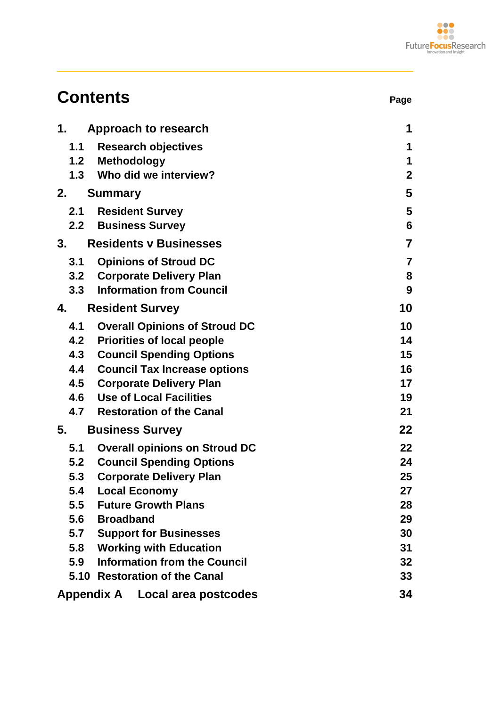

| <b>Contents</b>                             | Page             |
|---------------------------------------------|------------------|
| 1.<br>Approach to research                  | 1                |
| <b>Research objectives</b><br>1.1           | 1                |
| 1.2 Methodology                             | 1                |
| 1.3 Who did we interview?                   | $\mathbf 2$      |
| 2.<br><b>Summary</b>                        | 5                |
| <b>Resident Survey</b><br>2.1               | 5                |
| <b>2.2 Business Survey</b>                  | 6                |
| 3.<br><b>Residents v Businesses</b>         | $\overline{7}$   |
| <b>Opinions of Stroud DC</b><br>3.1         | $\overline{7}$   |
| 3.2 Corporate Delivery Plan                 | 8                |
| <b>Information from Council</b><br>3.3      | $\boldsymbol{9}$ |
| <b>Resident Survey</b><br>4.                | 10               |
| 4.1<br><b>Overall Opinions of Stroud DC</b> | 10               |
| 4.2<br><b>Priorities of local people</b>    | 14               |
| 4.3<br><b>Council Spending Options</b>      | 15               |
| <b>Council Tax Increase options</b><br>4.4  | 16               |
| 4.5<br><b>Corporate Delivery Plan</b>       | 17               |
| <b>Use of Local Facilities</b><br>4.6       | 19               |
| 4.7<br><b>Restoration of the Canal</b>      | 21               |
| <b>Business Survey</b><br>5.                | 22               |
| 5.1<br><b>Overall opinions on Stroud DC</b> | 22               |
| <b>Council Spending Options</b><br>5.2      | 24               |
| 5.3<br><b>Corporate Delivery Plan</b>       | 25               |
| 5.4<br><b>Local Economy</b>                 | 27               |
| <b>Future Growth Plans</b><br>5.5           | 28               |
| 5.6<br><b>Broadband</b>                     | 29               |
| <b>Support for Businesses</b><br>5.7        | 30               |
| <b>Working with Education</b><br>5.8        | 31               |
| <b>Information from the Council</b><br>5.9  | 32               |
| 5.10 Restoration of the Canal               | 33               |
| Appendix A Local area postcodes             | 34               |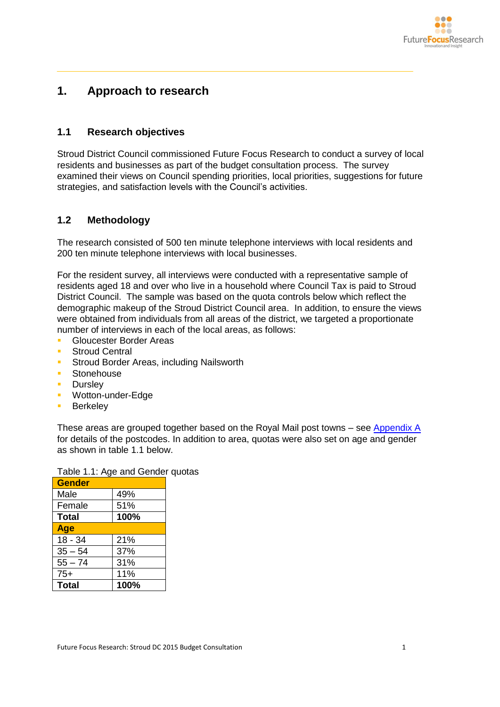

# <span id="page-2-0"></span>**1. Approach to research**

### <span id="page-2-1"></span>**1.1 Research objectives**

Stroud District Council commissioned Future Focus Research to conduct a survey of local residents and businesses as part of the budget consultation process. The survey examined their views on Council spending priorities, local priorities, suggestions for future strategies, and satisfaction levels with the Council's activities.

### <span id="page-2-2"></span>**1.2 Methodology**

The research consisted of 500 ten minute telephone interviews with local residents and 200 ten minute telephone interviews with local businesses.

For the resident survey, all interviews were conducted with a representative sample of residents aged 18 and over who live in a household where Council Tax is paid to Stroud District Council. The sample was based on the quota controls below which reflect the demographic makeup of the Stroud District Council area. In addition, to ensure the views were obtained from individuals from all areas of the district, we targeted a proportionate number of interviews in each of the local areas, as follows:

- Gloucester Border Areas
- Stroud Central
- **Stroud Border Areas, including Nailsworth**
- Stonehouse
- **Dursley**
- **Wotton-under-Edge**
- **Berkeley**

These areas are grouped together based on the Royal Mail post towns – see [Appendix A](#page-35-0) for details of the postcodes. In addition to area, quotas were also set on age and gender as shown in table 1.1 below.

|           | rable T.T. Age and Gender |  |
|-----------|---------------------------|--|
| Gender    |                           |  |
| Male      | 49%                       |  |
| Female    | 51%                       |  |
| Total     | 100%                      |  |
| Age       |                           |  |
| $18 - 34$ | 21%                       |  |
| $35 - 54$ | 37%                       |  |
| $55 - 74$ | 31%                       |  |
| $75+$     | 11%                       |  |
| Total     | 100%                      |  |

Table 1.1: Age and Gender quotas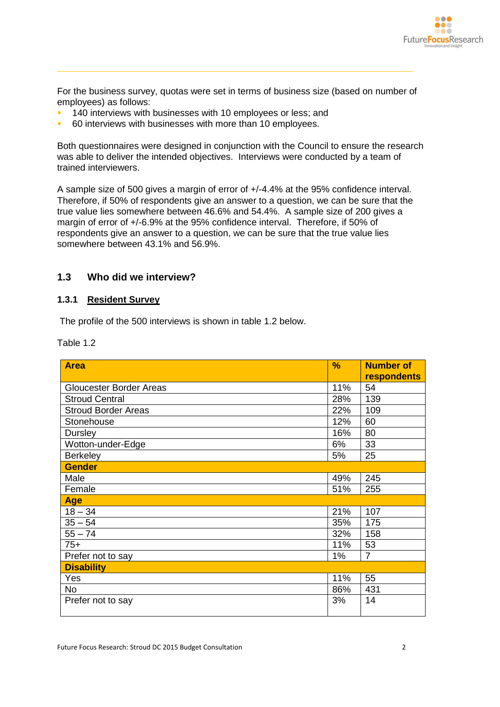

For the business survey, quotas were set in terms of business size (based on number of employees) as follows:

- 140 interviews with businesses with 10 employees or less; and
- 60 interviews with businesses with more than 10 employees.

Both questionnaires were designed in conjunction with the Council to ensure the research was able to deliver the intended objectives. Interviews were conducted by a team of trained interviewers.

A sample size of 500 gives a margin of error of +/-4.4% at the 95% confidence interval. Therefore, if 50% of respondents give an answer to a question, we can be sure that the true value lies somewhere between 46.6% and 54.4%. A sample size of 200 gives a margin of error of +/-6.9% at the 95% confidence interval. Therefore, if 50% of respondents give an answer to a question, we can be sure that the true value lies somewhere between 43.1% and 56.9%.

### <span id="page-3-0"></span>**1.3 Who did we interview?**

#### **1.3.1 Resident Survey**

The profile of the 500 interviews is shown in table 1.2 below.

Table 1.2

| <b>Area</b>                    | %   | <b>Number of</b>   |
|--------------------------------|-----|--------------------|
|                                |     | <b>respondents</b> |
| <b>Gloucester Border Areas</b> | 11% | 54                 |
| <b>Stroud Central</b>          | 28% | 139                |
| <b>Stroud Border Areas</b>     | 22% | 109                |
| Stonehouse                     | 12% | 60                 |
| <b>Dursley</b>                 | 16% | 80                 |
| Wotton-under-Edge              | 6%  | 33                 |
| <b>Berkeley</b>                | 5%  | 25                 |
| <b>Gender</b>                  |     |                    |
| Male                           | 49% | 245                |
| Female                         | 51% | 255                |
| <b>Age</b>                     |     |                    |
| $18 - 34$                      | 21% | 107                |
| $35 - 54$                      | 35% | 175                |
| $55 - 74$                      | 32% | 158                |
| $75+$                          | 11% | 53                 |
| Prefer not to say              | 1%  | $\overline{7}$     |
| <b>Disability</b>              |     |                    |
| Yes                            | 11% | 55                 |
| <b>No</b>                      | 86% | 431                |
| Prefer not to say              | 3%  | 14                 |
|                                |     |                    |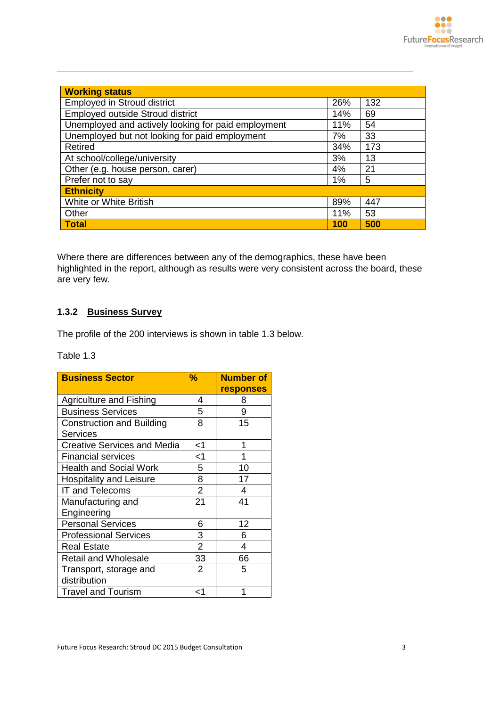| <b>Working status</b>                               |     |     |
|-----------------------------------------------------|-----|-----|
| <b>Employed in Stroud district</b>                  | 26% | 132 |
| Employed outside Stroud district                    | 14% | 69  |
| Unemployed and actively looking for paid employment | 11% | 54  |
| Unemployed but not looking for paid employment      | 7%  | 33  |
| Retired                                             | 34% | 173 |
| At school/college/university                        | 3%  | 13  |
| Other (e.g. house person, carer)                    | 4%  | 21  |
| Prefer not to say                                   | 1%  | 5   |
| <b>Ethnicity</b>                                    |     |     |
| White or White British                              | 89% | 447 |
| Other                                               | 11% | 53  |
| <b>Total</b>                                        | 100 | 500 |

Where there are differences between any of the demographics, these have been highlighted in the report, although as results were very consistent across the board, these are very few.

### **1.3.2 Business Survey**

The profile of the 200 interviews is shown in table 1.3 below.

Table 1.3

| <b>Business Sector</b>             | %              | <b>Number of</b><br><b>responses</b> |
|------------------------------------|----------------|--------------------------------------|
| <b>Agriculture and Fishing</b>     | 4              | 8                                    |
| <b>Business Services</b>           | 5.             | 9                                    |
| <b>Construction and Building</b>   | 8              | 15                                   |
| <b>Services</b>                    |                |                                      |
| <b>Creative Services and Media</b> | <1             | 1                                    |
| <b>Financial services</b>          | <1             | 1                                    |
| <b>Health and Social Work</b>      | 5              | 10                                   |
| <b>Hospitality and Leisure</b>     | 8              | 17                                   |
| <b>IT and Telecoms</b>             | $\overline{2}$ | 4                                    |
| Manufacturing and                  | 21             | 41                                   |
| Engineering                        |                |                                      |
| <b>Personal Services</b>           | 6              | 12                                   |
| <b>Professional Services</b>       | 3              | 6                                    |
| <b>Real Estate</b>                 | $\overline{2}$ | 4                                    |
| <b>Retail and Wholesale</b>        | 33             | 66                                   |
| Transport, storage and             | 2              | 5                                    |
| distribution                       |                |                                      |
| <b>Travel and Tourism</b>          | ا>             |                                      |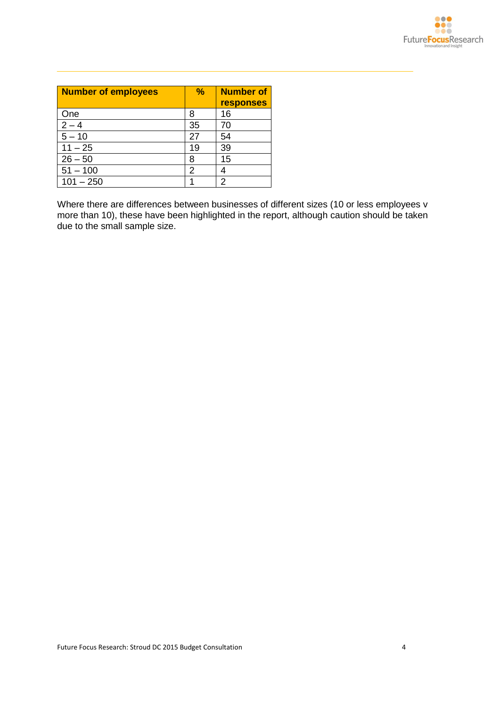| <b>Number of employees</b> | $\frac{9}{6}$ | <b>Number of</b><br><b>responses</b> |
|----------------------------|---------------|--------------------------------------|
| One                        | 8             | 16                                   |
| $2 - 4$                    | 35            | 70                                   |
| $5 - 10$                   | 27            | 54                                   |
| $11 - 25$                  | 19            | 39                                   |
| $26 - 50$                  | 8             | 15                                   |
| $51 - 100$                 | 2             |                                      |
| $101 - 250$                |               | 2                                    |

Where there are differences between businesses of different sizes (10 or less employees v more than 10), these have been highlighted in the report, although caution should be taken due to the small sample size.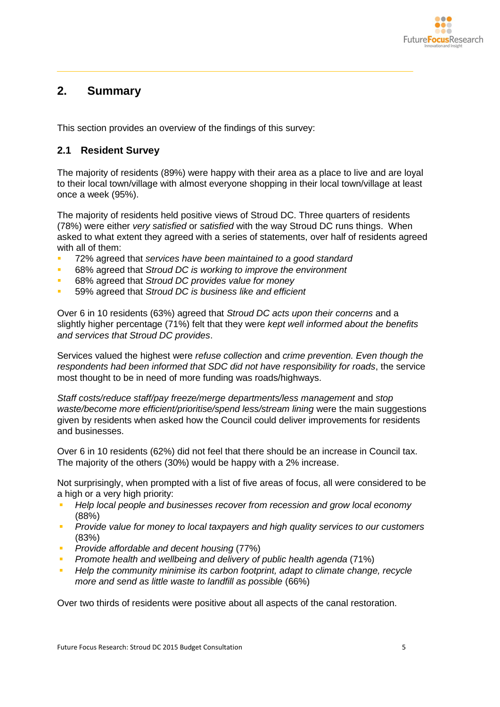

# <span id="page-6-0"></span>**2. Summary**

This section provides an overview of the findings of this survey:

### <span id="page-6-1"></span>**2.1 Resident Survey**

The majority of residents (89%) were happy with their area as a place to live and are loyal to their local town/village with almost everyone shopping in their local town/village at least once a week (95%).

The majority of residents held positive views of Stroud DC. Three quarters of residents (78%) were either *very satisfied* or *satisfied* with the way Stroud DC runs things. When asked to what extent they agreed with a series of statements, over half of residents agreed with all of them:

- 72% agreed that *services have been maintained to a good standard*
- 68% agreed that *Stroud DC is working to improve the environment*
- 68% agreed that *Stroud DC provides value for money*
- 59% agreed that *Stroud DC is business like and efficient*

Over 6 in 10 residents (63%) agreed that *Stroud DC acts upon their concerns* and a slightly higher percentage (71%) felt that they were *kept well informed about the benefits and services that Stroud DC provides*.

Services valued the highest were *refuse collection* and *crime prevention. Even though the respondents had been informed that SDC did not have responsibility for roads*, the service most thought to be in need of more funding was roads/highways.

*Staff costs/reduce staff/pay freeze/merge departments/less management* and *stop waste/become more efficient/prioritise/spend less/stream lining* were the main suggestions given by residents when asked how the Council could deliver improvements for residents and businesses.

Over 6 in 10 residents (62%) did not feel that there should be an increase in Council tax. The majority of the others (30%) would be happy with a 2% increase.

Not surprisingly, when prompted with a list of five areas of focus, all were considered to be a high or a very high priority:

- *Help local people and businesses recover from recession and grow local economy*  (88%)
- *Provide value for money to local taxpayers and high quality services to our customers*  (83%)
- *Provide affordable and decent housing* (77%)
- **Promote health and wellbeing and delivery of public health agenda (71%)**
- *Help the community minimise its carbon footprint, adapt to climate change, recycle more and send as little waste to landfill as possible* (66%)

Over two thirds of residents were positive about all aspects of the canal restoration.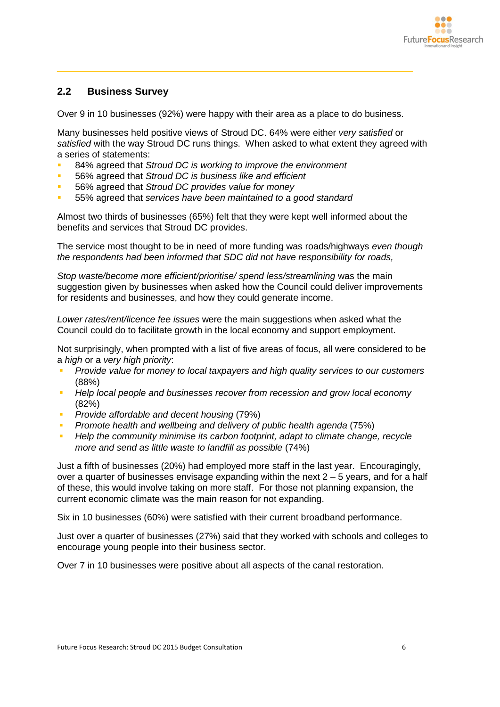

### <span id="page-7-0"></span>**2.2 Business Survey**

Over 9 in 10 businesses (92%) were happy with their area as a place to do business.

Many businesses held positive views of Stroud DC. 64% were either *very satisfied* or *satisfied* with the way Stroud DC runs things. When asked to what extent they agreed with a series of statements:

- 84% agreed that *Stroud DC is working to improve the environment*
- 56% agreed that *Stroud DC is business like and efficient*
- 56% agreed that *Stroud DC provides value for money*
- 55% agreed that *services have been maintained to a good standard*

Almost two thirds of businesses (65%) felt that they were kept well informed about the benefits and services that Stroud DC provides.

The service most thought to be in need of more funding was roads/highways *even though the respondents had been informed that SDC did not have responsibility for roads,* 

*Stop waste/become more efficient/prioritise/ spend less/streamlining* was the main suggestion given by businesses when asked how the Council could deliver improvements for residents and businesses, and how they could generate income.

*Lower rates/rent/licence fee issues* were the main suggestions when asked what the Council could do to facilitate growth in the local economy and support employment.

Not surprisingly, when prompted with a list of five areas of focus, all were considered to be a *high* or a *very high priority*:

- *Provide value for money to local taxpayers and high quality services to our customers*  (88%)
- *Help local people and businesses recover from recession and grow local economy*  (82%)
- *Provide affordable and decent housing* (79%)
- **Promote health and wellbeing and delivery of public health agenda (75%)**
- **Help the community minimise its carbon footprint, adapt to climate change, recycle** *more and send as little waste to landfill as possible* (74%)

Just a fifth of businesses (20%) had employed more staff in the last year. Encouragingly, over a quarter of businesses envisage expanding within the next 2 – 5 years, and for a half of these, this would involve taking on more staff. For those not planning expansion, the current economic climate was the main reason for not expanding.

Six in 10 businesses (60%) were satisfied with their current broadband performance.

Just over a quarter of businesses (27%) said that they worked with schools and colleges to encourage young people into their business sector.

Over 7 in 10 businesses were positive about all aspects of the canal restoration.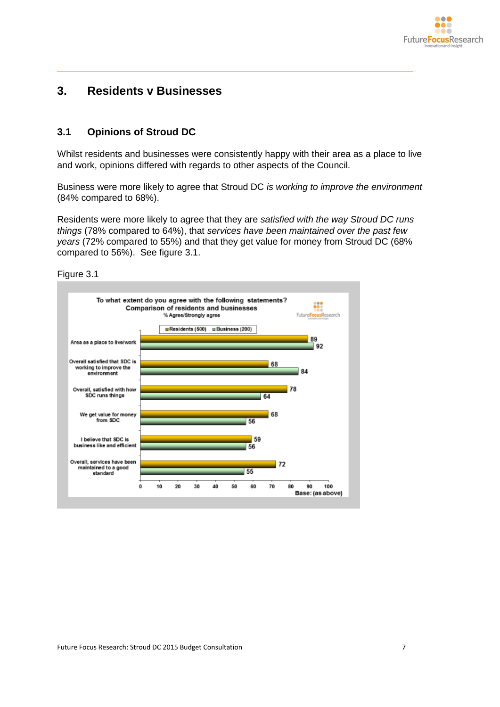

# <span id="page-8-0"></span>**3. Residents v Businesses**

### <span id="page-8-1"></span>**3.1 Opinions of Stroud DC**

Whilst residents and businesses were consistently happy with their area as a place to live and work, opinions differed with regards to other aspects of the Council.

Business were more likely to agree that Stroud DC *is working to improve the environment* (84% compared to 68%).

Residents were more likely to agree that they are *satisfied with the way Stroud DC runs things* (78% compared to 64%), that *services have been maintained over the past few years* (72% compared to 55%) and that they get value for money from Stroud DC (68% compared to 56%). See figure 3.1.



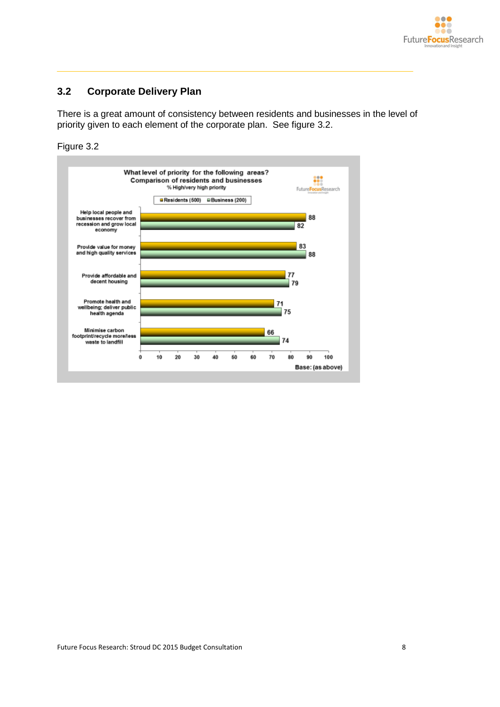

## <span id="page-9-0"></span>**3.2 Corporate Delivery Plan**

There is a great amount of consistency between residents and businesses in the level of priority given to each element of the corporate plan. See figure 3.2.

Figure 3.2

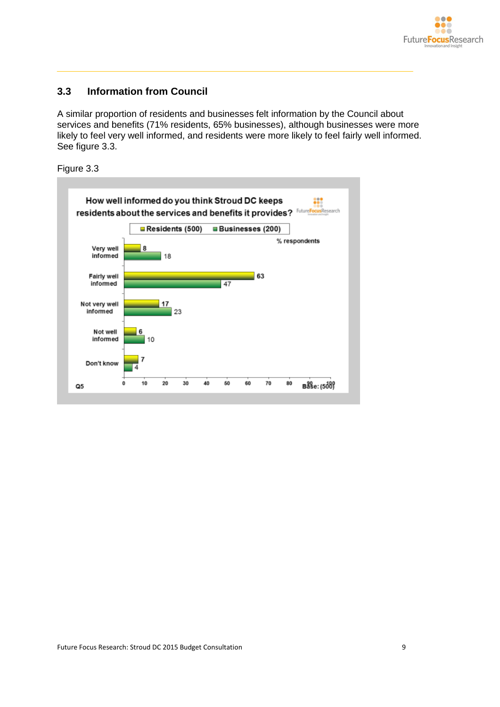

### <span id="page-10-0"></span>**3.3 Information from Council**

A similar proportion of residents and businesses felt information by the Council about services and benefits (71% residents, 65% businesses), although businesses were more likely to feel very well informed, and residents were more likely to feel fairly well informed. See figure 3.3.

Figure 3.3

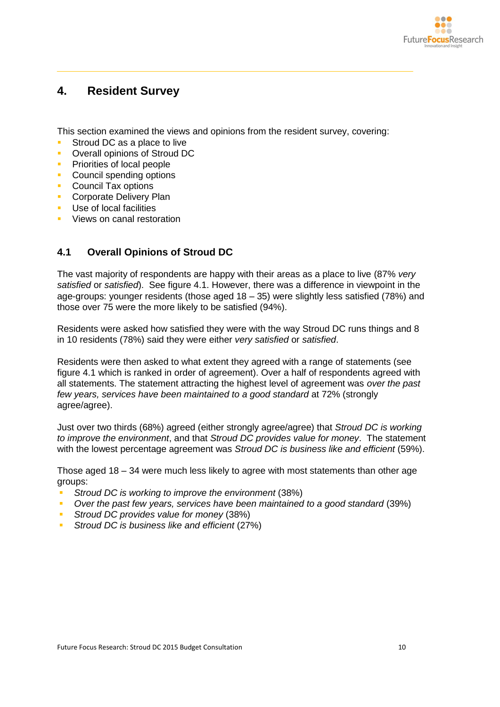

# <span id="page-11-0"></span>**4. Resident Survey**

This section examined the views and opinions from the resident survey, covering:

- Stroud DC as a place to live
- **Overall opinions of Stroud DC**
- **Priorities of local people**
- **Council spending options**
- **Council Tax options**
- **Corporate Delivery Plan**
- Use of local facilities
- Views on canal restoration

### <span id="page-11-1"></span>**4.1 Overall Opinions of Stroud DC**

The vast majority of respondents are happy with their areas as a place to live (87% *very satisfied* or *satisfied*). See figure 4.1. However, there was a difference in viewpoint in the age-groups: younger residents (those aged  $18 - 35$ ) were slightly less satisfied (78%) and those over 75 were the more likely to be satisfied (94%).

Residents were asked how satisfied they were with the way Stroud DC runs things and 8 in 10 residents (78%) said they were either *very satisfied* or *satisfied*.

Residents were then asked to what extent they agreed with a range of statements (see figure 4.1 which is ranked in order of agreement). Over a half of respondents agreed with all statements. The statement attracting the highest level of agreement was *over the past few years, services have been maintained to a good standard* at 72% (strongly agree/agree).

Just over two thirds (68%) agreed (either strongly agree/agree) that *Stroud DC is working to improve the environment*, and that *Stroud DC provides value for money*. The statement with the lowest percentage agreement was *Stroud DC is business like and efficient* (59%).

Those aged 18 – 34 were much less likely to agree with most statements than other age groups:

- *Stroud DC is working to improve the environment* (38%)
- *Over the past few years, services have been maintained to a good standard* (39%)
- *Stroud DC provides value for money* (38%)
- *Stroud DC is business like and efficient* (27%)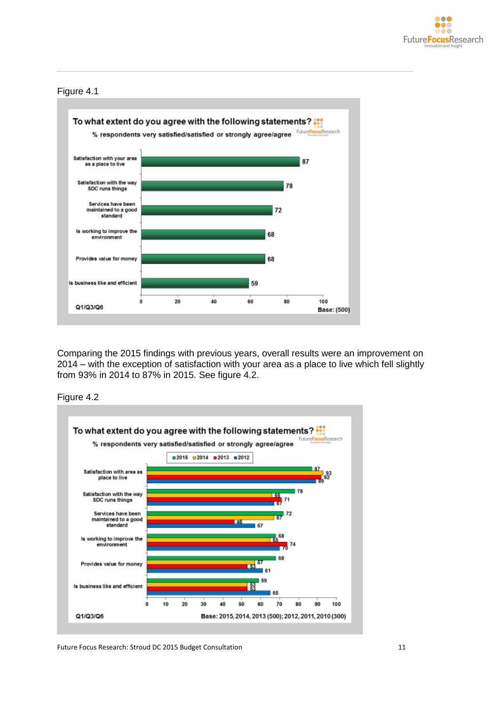

#### Figure 4.1



Comparing the 2015 findings with previous years, overall results were an improvement on 2014 – with the exception of satisfaction with your area as a place to live which fell slightly from 93% in 2014 to 87% in 2015. See figure 4.2.





Future Focus Research: Stroud DC 2015 Budget Consultation 11 11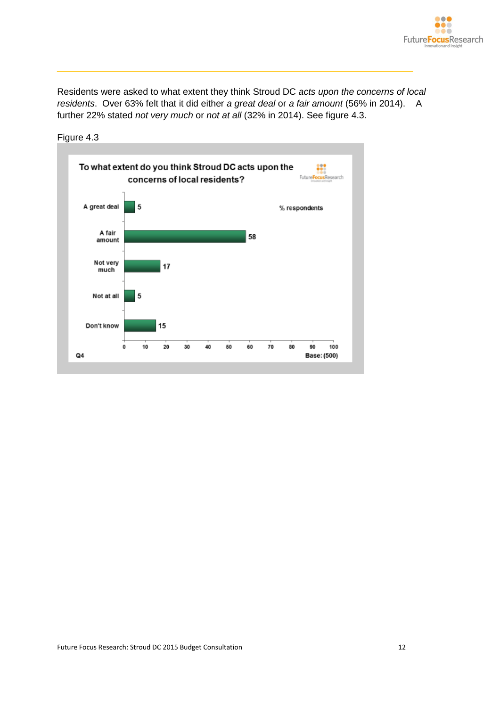

Residents were asked to what extent they think Stroud DC *acts upon the concerns of local residents*. Over 63% felt that it did either *a great deal* or *a fair amount* (56% in 2014). A further 22% stated *not very much* or *not at all* (32% in 2014). See figure 4.3.

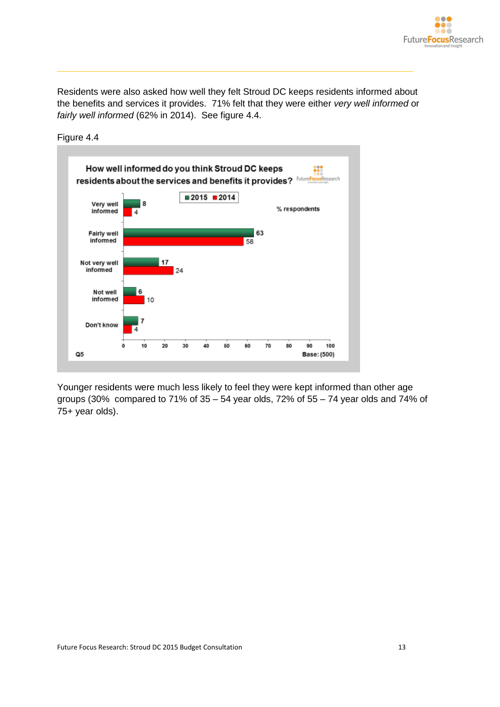

Residents were also asked how well they felt Stroud DC keeps residents informed about the benefits and services it provides. 71% felt that they were either *very well informed* or *fairly well informed* (62% in 2014). See figure 4.4.



Figure 4.4

Younger residents were much less likely to feel they were kept informed than other age groups (30% compared to 71% of 35 – 54 year olds, 72% of 55 – 74 year olds and 74% of 75+ year olds).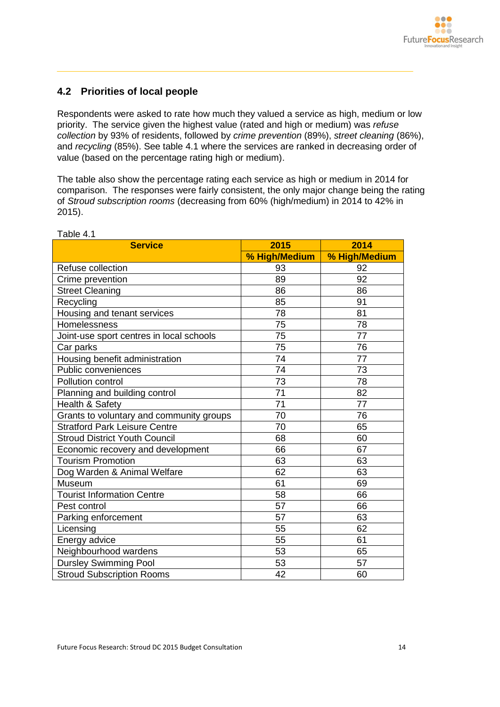### <span id="page-15-0"></span>**4.2 Priorities of local people**

Respondents were asked to rate how much they valued a service as high, medium or low priority. The service given the highest value (rated and high or medium) was *refuse collection* by 93% of residents, followed by *crime prevention* (89%), *street cleaning* (86%), and *recycling* (85%). See table 4.1 where the services are ranked in decreasing order of value (based on the percentage rating high or medium).

The table also show the percentage rating each service as high or medium in 2014 for comparison. The responses were fairly consistent, the only major change being the rating of *Stroud subscription rooms* (decreasing from 60% (high/medium) in 2014 to 42% in 2015).

| <b>Service</b>                           | 2015          | 2014          |
|------------------------------------------|---------------|---------------|
|                                          | % High/Medium | % High/Medium |
| Refuse collection                        | 93            | 92            |
| Crime prevention                         | 89            | 92            |
| <b>Street Cleaning</b>                   | 86            | 86            |
| Recycling                                | 85            | 91            |
| Housing and tenant services              | 78            | 81            |
| Homelessness                             | 75            | 78            |
| Joint-use sport centres in local schools | 75            | 77            |
| Car parks                                | 75            | 76            |
| Housing benefit administration           | 74            | 77            |
| Public conveniences                      | 74            | 73            |
| Pollution control                        | 73            | 78            |
| Planning and building control            | 71            | 82            |
| Health & Safety                          | 71            | 77            |
| Grants to voluntary and community groups | 70            | 76            |
| <b>Stratford Park Leisure Centre</b>     | 70            | 65            |
| <b>Stroud District Youth Council</b>     | 68            | 60            |
| Economic recovery and development        | 66            | 67            |
| <b>Tourism Promotion</b>                 | 63            | 63            |
| Dog Warden & Animal Welfare              | 62            | 63            |
| Museum                                   | 61            | 69            |
| <b>Tourist Information Centre</b>        | 58            | 66            |
| Pest control                             | 57            | 66            |
| Parking enforcement                      | 57            | 63            |
| Licensing                                | 55            | 62            |
| Energy advice                            | 55            | 61            |
| Neighbourhood wardens                    | 53            | 65            |
| <b>Dursley Swimming Pool</b>             | 53            | 57            |
| <b>Stroud Subscription Rooms</b>         | 42            | 60            |

Table 4.1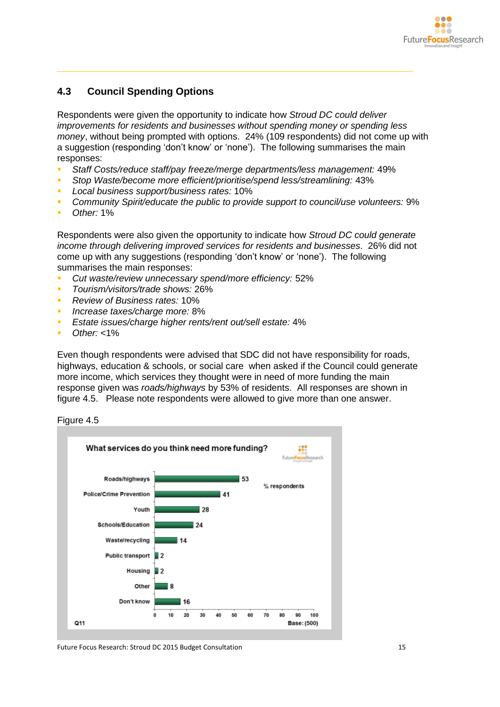

### <span id="page-16-0"></span>**4.3 Council Spending Options**

Respondents were given the opportunity to indicate how *Stroud DC could deliver improvements for residents and businesses without spending money or spending less money*, without being prompted with options. 24% (109 respondents) did not come up with a suggestion (responding 'don't know' or 'none'). The following summarises the main responses:

- *Staff Costs/reduce staff/pay freeze/merge departments/less management:* 49%
- *Stop Waste/become more efficient/prioritise/spend less/streamlining:* 43%
- *Local business support/business rates:* 10%
- *Community Spirit/educate the public to provide support to council/use volunteers:* 9%
- *Other:* 1%

Respondents were also given the opportunity to indicate how *Stroud DC could generate income through delivering improved services for residents and businesses*. 26% did not come up with any suggestions (responding 'don't know' or 'none'). The following summarises the main responses:

- *Cut waste/review unnecessary spend/more efficiency:* 52%
- *Tourism/visitors/trade shows:* 26%
- *Review of Business rates:* 10%
- *Increase taxes/charge more:* 8%
- *Estate issues/charge higher rents/rent out/sell estate:* 4%
- *Other:* <1%

Even though respondents were advised that SDC did not have responsibility for roads, highways, education & schools, or social care when asked if the Council could generate more income, which services they thought were in need of more funding the main response given was *roads/highways* by 53% of residents. All responses are shown in figure 4.5. Please note respondents were allowed to give more than one answer.



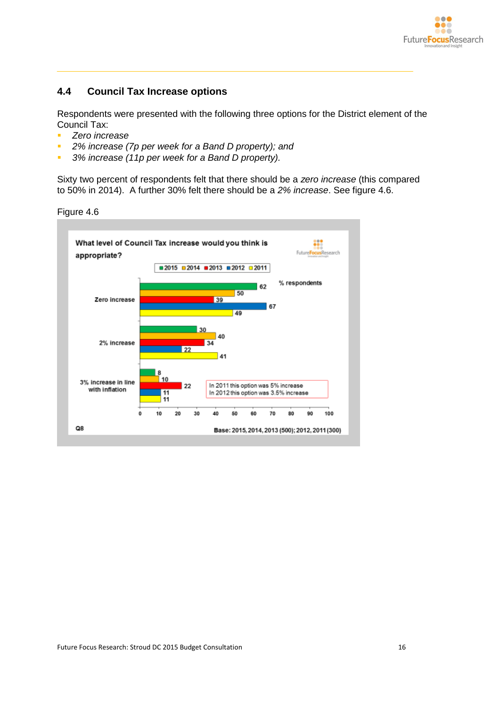

### <span id="page-17-0"></span>**4.4 Council Tax Increase options**

Respondents were presented with the following three options for the District element of the Council Tax:

- *Zero increase*
- *2% increase (7p per week for a Band D property); and*
- *3% increase (11p per week for a Band D property).*

Sixty two percent of respondents felt that there should be a *zero increase* (this compared to 50% in 2014). A further 30% felt there should be a *2% increase*. See figure 4.6.

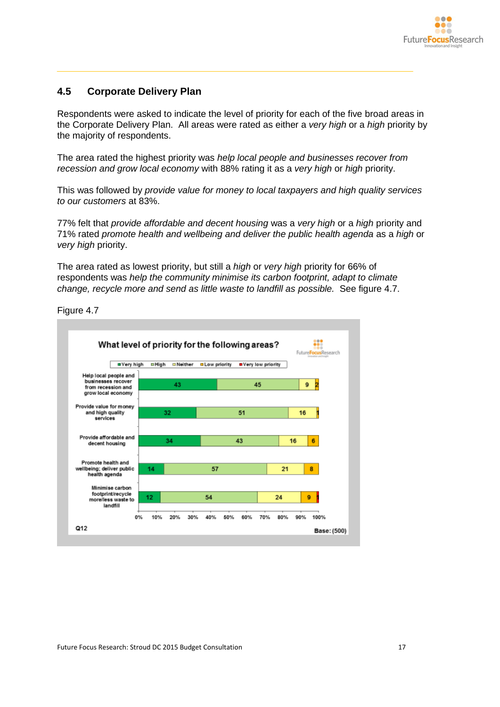

### <span id="page-18-0"></span>**4.5 Corporate Delivery Plan**

Respondents were asked to indicate the level of priority for each of the five broad areas in the Corporate Delivery Plan. All areas were rated as either a *very high* or a *high* priority by the majority of respondents.

The area rated the highest priority was *help local people and businesses recover from recession and grow local economy* with 88% rating it as a *very high* or *high* priority.

This was followed by *provide value for money to local taxpayers and high quality services to our customers* at 83%.

77% felt that *provide affordable and decent housing* was a *very high* or a *high* priority and 71% rated *promote health and wellbeing and deliver the public health agenda* as a *high* or *very high* priority.

The area rated as lowest priority, but still a *high* or *very high* priority for 66% of respondents was *help the community minimise its carbon footprint, adapt to climate change, recycle more and send as little waste to landfill as possible.* See figure 4.7.

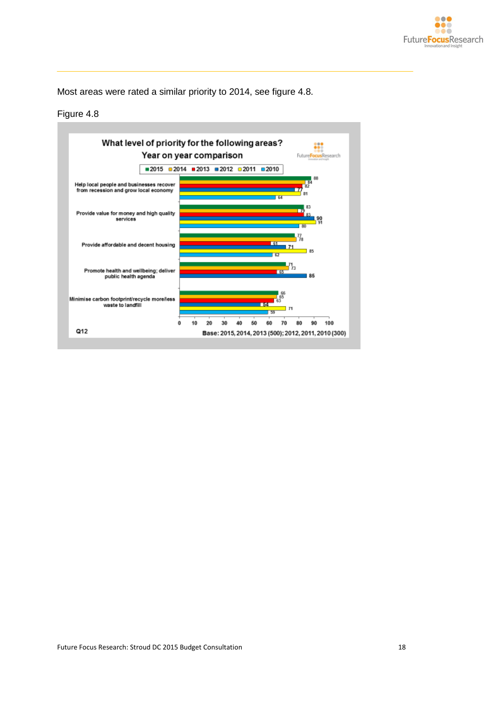

Most areas were rated a similar priority to 2014, see figure 4.8.

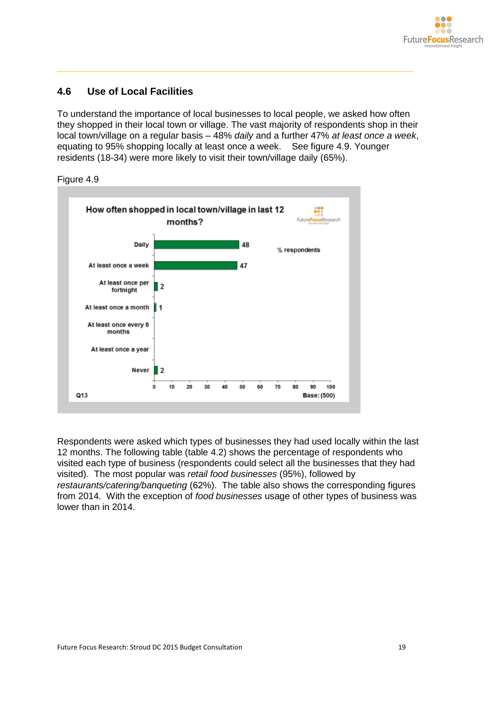

### <span id="page-20-0"></span>**4.6 Use of Local Facilities**

To understand the importance of local businesses to local people, we asked how often they shopped in their local town or village. The vast majority of respondents shop in their local town/village on a regular basis – 48% *daily* and a further 47% *at least once a week*, equating to 95% shopping locally at least once a week. See figure 4.9. Younger residents (18-34) were more likely to visit their town/village daily (65%).





Respondents were asked which types of businesses they had used locally within the last 12 months. The following table (table 4.2) shows the percentage of respondents who visited each type of business (respondents could select all the businesses that they had visited). The most popular was *retail food businesses* (95%), followed by *restaurants/catering/banqueting* (62%). The table also shows the corresponding figures from 2014. With the exception of *food businesses* usage of other types of business was lower than in 2014.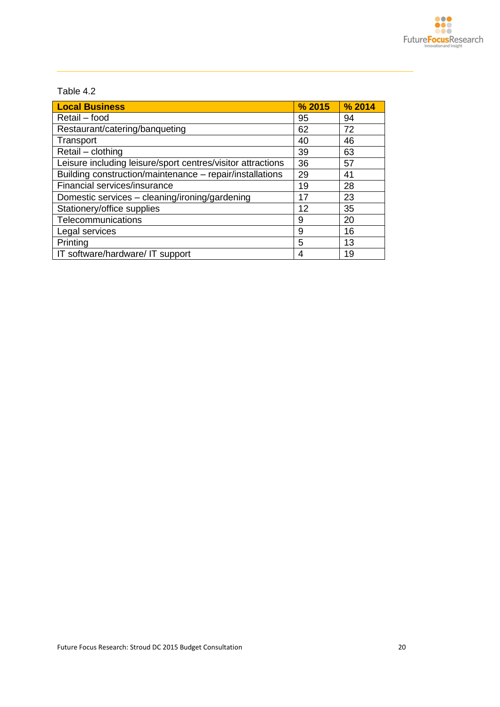### Table 4.2

| <b>Local Business</b>                                       | % 2015 | % 2014 |
|-------------------------------------------------------------|--------|--------|
| Retail - food                                               | 95     | 94     |
| Restaurant/catering/banqueting                              | 62     | 72     |
| Transport                                                   | 40     | 46     |
| Retail - clothing                                           | 39     | 63     |
| Leisure including leisure/sport centres/visitor attractions | 36     | 57     |
| Building construction/maintenance - repair/installations    | 29     | 41     |
| Financial services/insurance                                | 19     | 28     |
| Domestic services - cleaning/ironing/gardening              | 17     | 23     |
| Stationery/office supplies                                  | 12     | 35     |
| Telecommunications                                          | 9      | 20     |
| Legal services                                              | 9      | 16     |
| Printing                                                    | 5      | 13     |
| IT software/hardware/ IT support                            | 4      | 19     |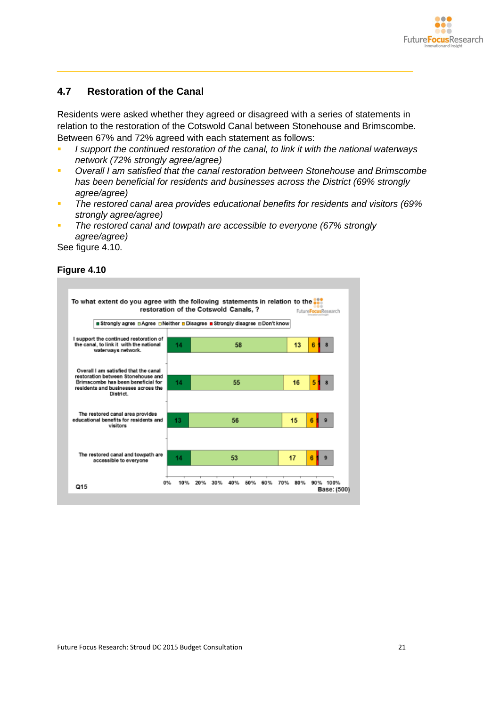

### <span id="page-22-0"></span>**4.7 Restoration of the Canal**

Residents were asked whether they agreed or disagreed with a series of statements in relation to the restoration of the Cotswold Canal between Stonehouse and Brimscombe. Between 67% and 72% agreed with each statement as follows:

- *I support the continued restoration of the canal, to link it with the national waterways network (72% strongly agree/agree)*
- *Overall I am satisfied that the canal restoration between Stonehouse and Brimscombe has been beneficial for residents and businesses across the District (69% strongly agree/agree)*
- *The restored canal area provides educational benefits for residents and visitors (69% strongly agree/agree)*
- *The restored canal and towpath are accessible to everyone (67% strongly agree/agree)*

See figure 4.10.

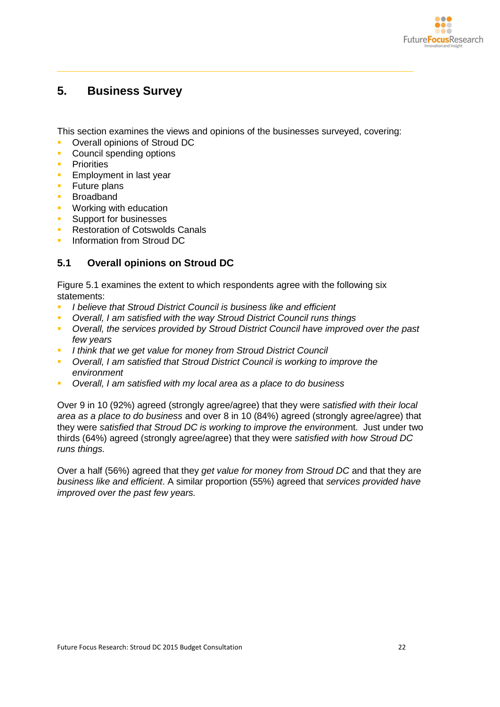

# <span id="page-23-0"></span>**5. Business Survey**

This section examines the views and opinions of the businesses surveyed, covering:

- Overall opinions of Stroud DC
- **Council spending options**
- **Priorities**
- Employment in last year
- **Future plans**
- **Broadband**
- **Working with education**
- **Support for businesses**
- **Restoration of Cotswolds Canals**
- Information from Stroud DC

### <span id="page-23-1"></span>**5.1 Overall opinions on Stroud DC**

Figure 5.1 examines the extent to which respondents agree with the following six statements:

- *I believe that Stroud District Council is business like and efficient*
- *Overall, I am satisfied with the way Stroud District Council runs things*
- *Overall, the services provided by Stroud District Council have improved over the past few years*
- *I think that we get value for money from Stroud District Council*
- *Overall, I am satisfied that Stroud District Council is working to improve the environment*
- *Overall, I am satisfied with my local area as a place to do business*

Over 9 in 10 (92%) agreed (strongly agree/agree) that they were *satisfied with their local area as a place to do business* and over 8 in 10 (84%) agreed (strongly agree/agree) that they were *satisfied that Stroud DC is working to improve the environme*nt. Just under two thirds (64%) agreed (strongly agree/agree) that they were *satisfied with how Stroud DC runs things.*

Over a half (56%) agreed that they *get value for money from Stroud DC* and that they are *business like and efficient*. A similar proportion (55%) agreed that *services provided have improved over the past few years.*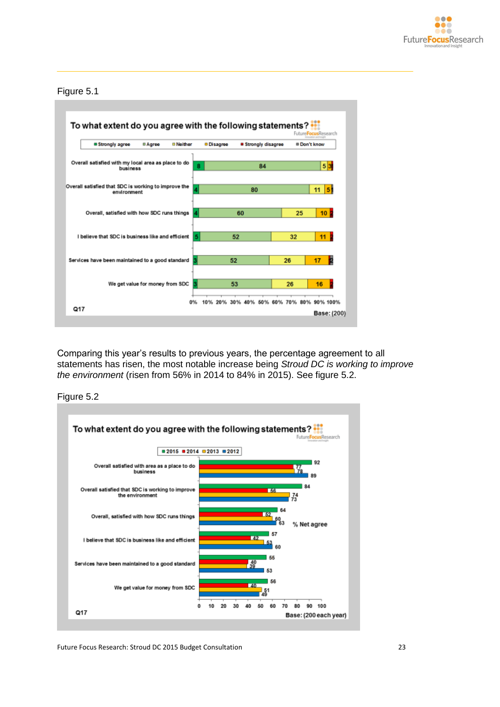

#### Figure 5.1



Comparing this year's results to previous years, the percentage agreement to all statements has risen, the most notable increase being *Stroud DC is working to improve the environment* (risen from 56% in 2014 to 84% in 2015). See figure 5.2.





Future Focus Research: Stroud DC 2015 Budget Consultation 23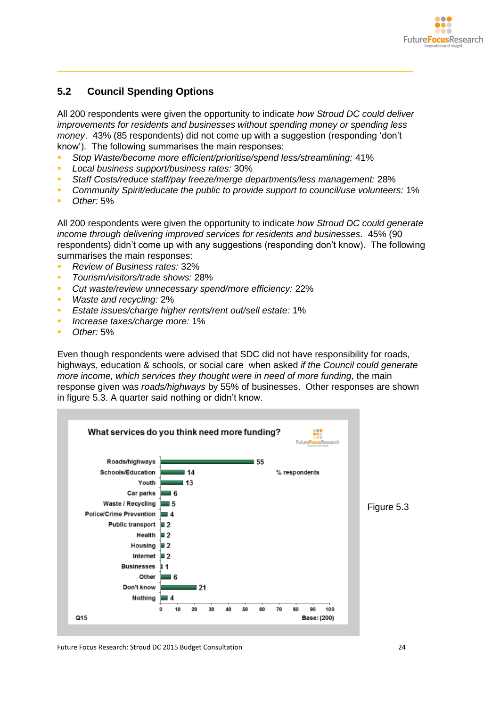

### <span id="page-25-0"></span>**5.2 Council Spending Options**

All 200 respondents were given the opportunity to indicate *how Stroud DC could deliver improvements for residents and businesses without spending money or spending less money*. 43% (85 respondents) did not come up with a suggestion (responding 'don't know'). The following summarises the main responses:

- *Stop Waste/become more efficient/prioritise/spend less/streamlining:* 41%
- *Local business support/business rates:* 30%
- *Staff Costs/reduce staff/pay freeze/merge departments/less management:* 28%
- *Community Spirit/educate the public to provide support to council/use volunteers:* 1%
- *Other:* 5%

All 200 respondents were given the opportunity to indicate *how Stroud DC could generate income through delivering improved services for residents and businesses*. 45% (90 respondents) didn't come up with any suggestions (responding don't know). The following summarises the main responses:

- *Review of Business rates:* 32%
- *Tourism/visitors/trade shows:* 28%
- *Cut waste/review unnecessary spend/more efficiency:* 22%
- *Waste and recycling:* 2%
- *Estate issues/charge higher rents/rent out/sell estate:* 1%
- *Increase taxes/charge more:* 1%
- *Other:* 5%

Even though respondents were advised that SDC did not have responsibility for roads, highways, education & schools, or social care when asked *if the Council could generate more income, which services they thought were in need of more funding*, the main response given was *roads/highways* by 55% of businesses. Other responses are shown in figure 5.3. A quarter said nothing or didn't know.



Future Focus Research: Stroud DC 2015 Budget Consultation 24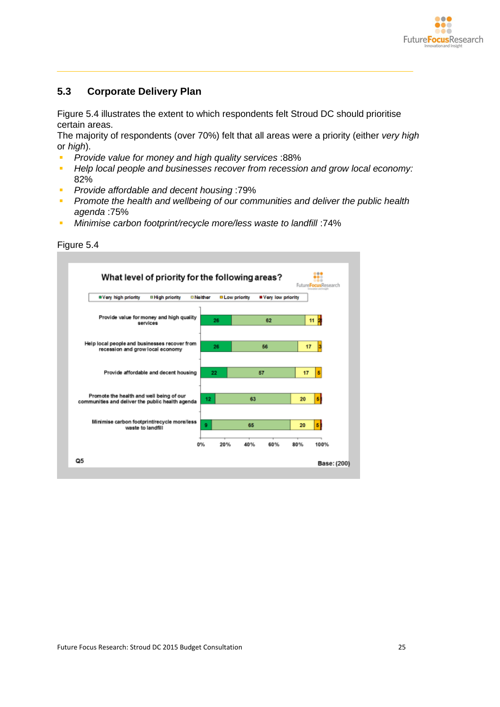

### <span id="page-26-0"></span>**5.3 Corporate Delivery Plan**

Figure 5.4 illustrates the extent to which respondents felt Stroud DC should prioritise certain areas.

The majority of respondents (over 70%) felt that all areas were a priority (either *very high* or *high*).

- *Provide value for money and high quality services* :88%
- **Help local people and businesses recover from recession and grow local economy:** 82%
- *Provide affordable and decent housing* :79%
- **Promote the health and wellbeing of our communities and deliver the public health** *agenda* :75%
- **Minimise carbon footprint/recycle more/less waste to landfill**: 74%

| <b>Nery high priority</b>                                                                    | <b>¤High priority</b>                                       | <b>D</b> Neither | <b>DLow priority</b> | Very low priority |    |   |
|----------------------------------------------------------------------------------------------|-------------------------------------------------------------|------------------|----------------------|-------------------|----|---|
|                                                                                              | Provide value for money and high quality<br><b>SALVICAS</b> | 26               |                      | 62                | 11 |   |
| Help local people and businesses recover from<br>recession and grow local economy            |                                                             | 26               |                      | 56                | 17 |   |
|                                                                                              | Provide affordable and decent housing                       | 22               |                      | 57                | 17 | 5 |
| Promote the health and well being of our<br>communities and deliver the public health agenda |                                                             | 12               | 63                   |                   | 20 | в |
| Minimise carbon footprint/recycle more/less<br>waste to landfill                             |                                                             | 9                | 65                   |                   | 20 | 5 |

#### Figure 5.4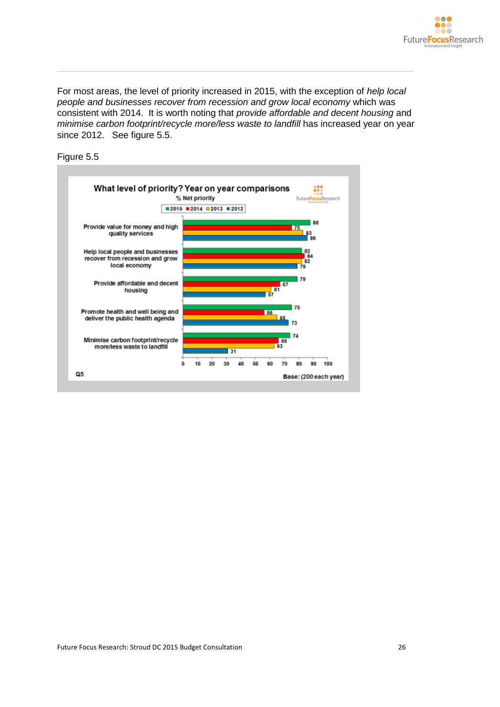

For most areas, the level of priority increased in 2015, with the exception of *help local people and businesses recover from recession and grow local economy* which was consistent with 2014. It is worth noting that *provide affordable and decent housing* and *minimise carbon footprint/recycle more/less waste to landfill* has increased year on year since 2012. See figure 5.5.



Figure 5.5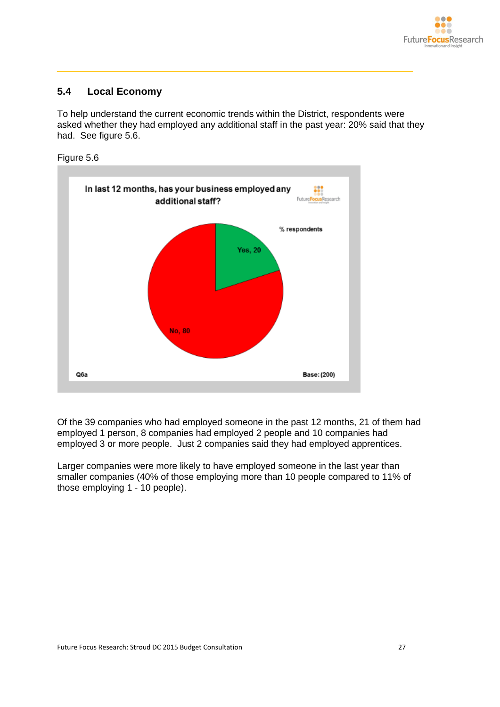

### <span id="page-28-0"></span>**5.4 Local Economy**

To help understand the current economic trends within the District, respondents were asked whether they had employed any additional staff in the past year: 20% said that they had. See figure 5.6.





Of the 39 companies who had employed someone in the past 12 months, 21 of them had employed 1 person, 8 companies had employed 2 people and 10 companies had employed 3 or more people. Just 2 companies said they had employed apprentices.

Larger companies were more likely to have employed someone in the last year than smaller companies (40% of those employing more than 10 people compared to 11% of those employing 1 - 10 people).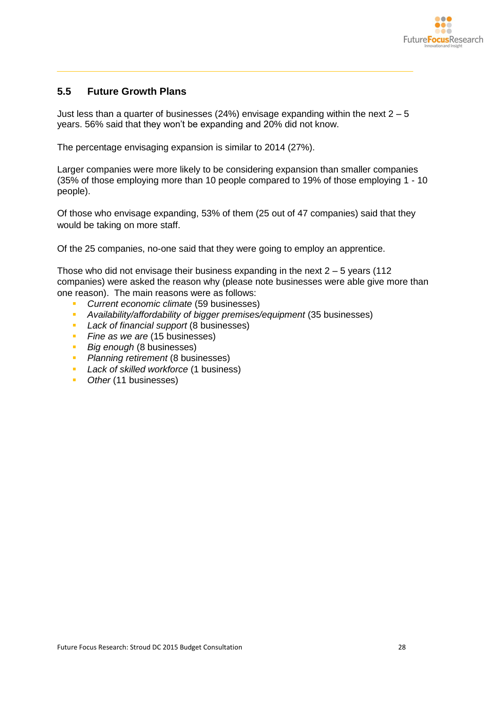

### <span id="page-29-0"></span>**5.5 Future Growth Plans**

Just less than a quarter of businesses (24%) envisage expanding within the next  $2 - 5$ years. 56% said that they won't be expanding and 20% did not know.

The percentage envisaging expansion is similar to 2014 (27%).

Larger companies were more likely to be considering expansion than smaller companies (35% of those employing more than 10 people compared to 19% of those employing 1 - 10 people).

Of those who envisage expanding, 53% of them (25 out of 47 companies) said that they would be taking on more staff.

Of the 25 companies, no-one said that they were going to employ an apprentice.

Those who did not envisage their business expanding in the next  $2 - 5$  years (112) companies) were asked the reason why (please note businesses were able give more than one reason). The main reasons were as follows:

- *Current economic climate* (59 businesses)
- *Availability/affordability of bigger premises/equipment* (35 businesses)
- *Lack of financial support* (8 businesses)
- **Fine as we are (15 businesses)**
- **Big enough (8 businesses)**
- *Planning retirement* (8 businesses)
- *Lack of skilled workforce* (1 business)
- *Other* (11 businesses)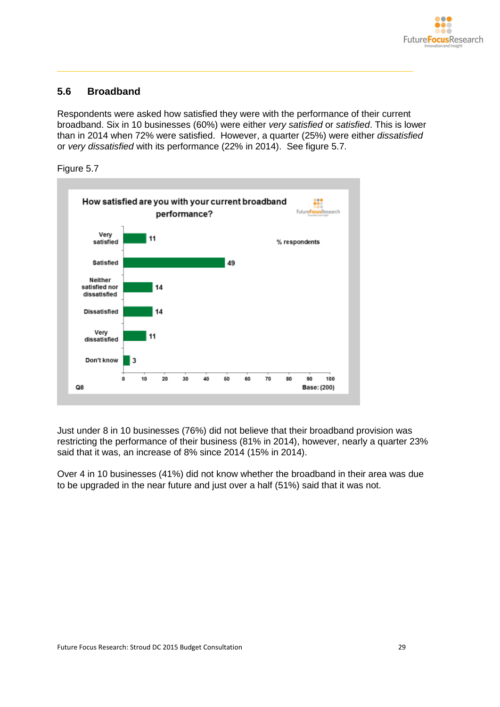

### <span id="page-30-0"></span>**5.6 Broadband**

Respondents were asked how satisfied they were with the performance of their current broadband. Six in 10 businesses (60%) were either *very satisfied* or *satisfied*. This is lower than in 2014 when 72% were satisfied. However, a quarter (25%) were either *dissatisfied* or *very dissatisfied* with its performance (22% in 2014). See figure 5.7.





Just under 8 in 10 businesses (76%) did not believe that their broadband provision was restricting the performance of their business (81% in 2014), however, nearly a quarter 23% said that it was, an increase of 8% since 2014 (15% in 2014).

Over 4 in 10 businesses (41%) did not know whether the broadband in their area was due to be upgraded in the near future and just over a half (51%) said that it was not.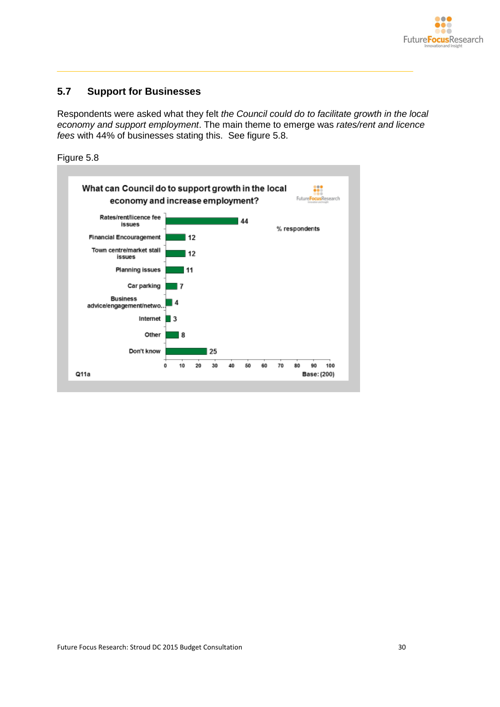

### <span id="page-31-0"></span>**5.7 Support for Businesses**

Respondents were asked what they felt *the Council could do to facilitate growth in the local economy and support employment*. The main theme to emerge was *rates/rent and licence fees* with 44% of businesses stating this. See figure 5.8.

Figure 5.8

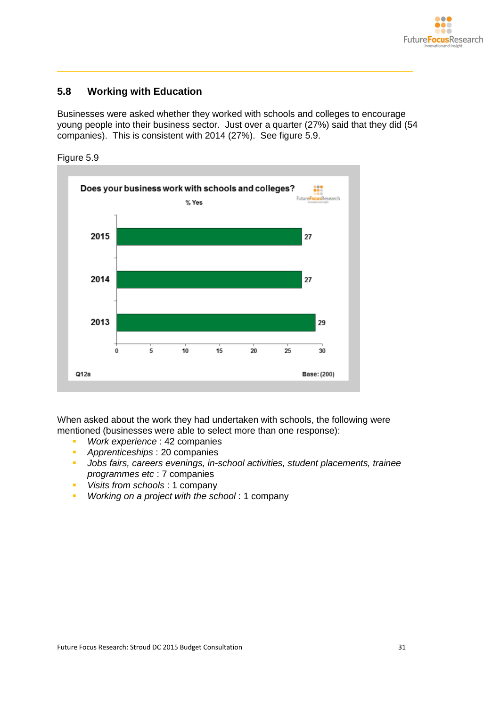

### <span id="page-32-0"></span>**5.8 Working with Education**

Businesses were asked whether they worked with schools and colleges to encourage young people into their business sector. Just over a quarter (27%) said that they did (54 companies). This is consistent with 2014 (27%). See figure 5.9.



Figure 5.9

When asked about the work they had undertaken with schools, the following were mentioned (businesses were able to select more than one response):

- *Work experience* : 42 companies
- *Apprenticeships* : 20 companies
- *Jobs fairs, careers evenings, in-school activities, student placements, trainee programmes etc* : 7 companies
- *Visits from schools* : 1 company
- *Working on a project with the school* : 1 company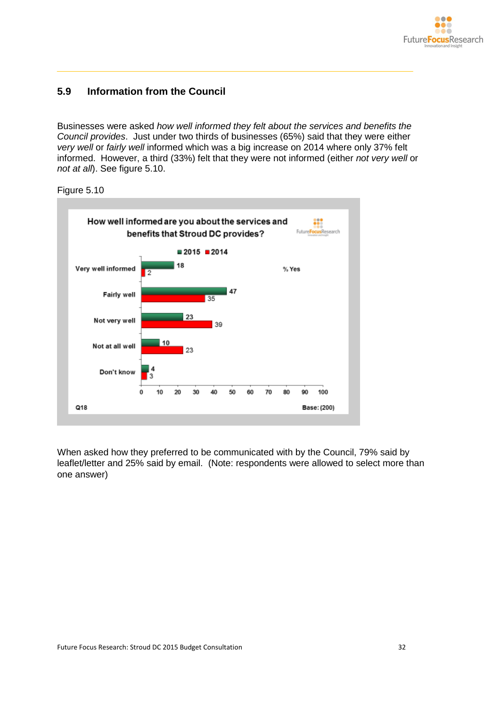

### <span id="page-33-0"></span>**5.9 Information from the Council**

Businesses were asked *how well informed they felt about the services and benefits the Council provides*. Just under two thirds of businesses (65%) said that they were either *very well* or *fairly well* informed which was a big increase on 2014 where only 37% felt informed. However, a third (33%) felt that they were not informed (either *not very well* or *not at all*). See figure 5.10.



When asked how they preferred to be communicated with by the Council, 79% said by leaflet/letter and 25% said by email. (Note: respondents were allowed to select more than one answer)

Figure 5.10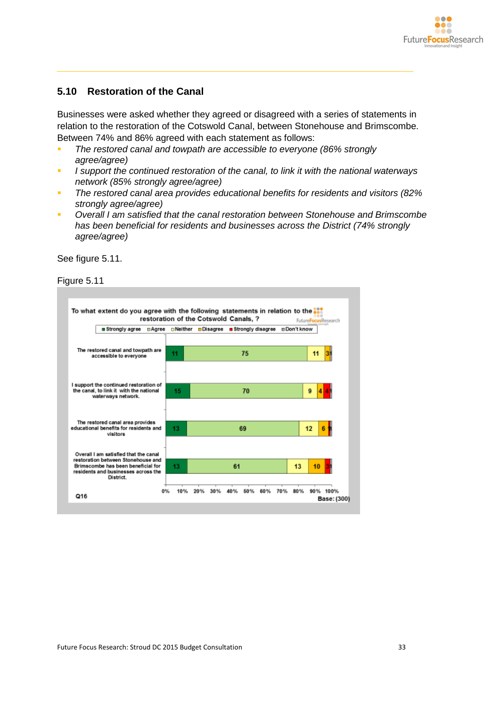

### <span id="page-34-0"></span>**5.10 Restoration of the Canal**

Businesses were asked whether they agreed or disagreed with a series of statements in relation to the restoration of the Cotswold Canal, between Stonehouse and Brimscombe. Between 74% and 86% agreed with each statement as follows:

- *The restored canal and towpath are accessible to everyone (86% strongly agree/agree)*
- *I support the continued restoration of the canal, to link it with the national waterways network (85% strongly agree/agree)*
- *The restored canal area provides educational benefits for residents and visitors (82% strongly agree/agree)*
- *Overall I am satisfied that the canal restoration between Stonehouse and Brimscombe has been beneficial for residents and businesses across the District (74% strongly agree/agree)*

See figure 5.11.

Figure 5.11

| ■ Strongly agree<br>⊟Agree                                                                                        |    | ⊡Neither □Disagree<br>■ Strongly disagree | n Don't know |
|-------------------------------------------------------------------------------------------------------------------|----|-------------------------------------------|--------------|
| The restored canal and towpath are<br>accessible to everyone                                                      | 11 | 75                                        | 11<br>31     |
| I support the continued restoration of<br>the canal, to link it with the national<br>waterways network.           | 15 | 70                                        | 9            |
| The restored canal area provides<br>educational benefits for residents and<br>visitors                            | 13 | 69                                        | 12<br>ĥ      |
| Overall I am satisfied that the canal<br>restoration between Stonehouse and<br>Brimscombe has been beneficial for | 13 | 61                                        | 13<br>10     |